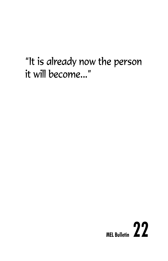# "It is already now the person it will become..."

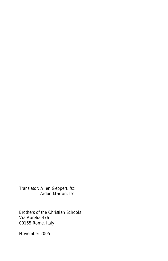Translator: Allen Geppert, fsc Aidan Marron, fsc

Brothers of the Christian Schools Via Aurelia 476 00165 Rome, Italy

November 2005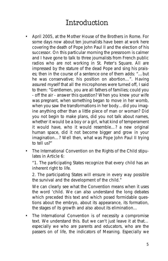## Introduction

- April 2005, at the Mother House of the Brothers in Rome. For some days now about ten journalists have been at work here covering the death of Pope John Paul II and the election of his successor. On this particular morning the pressroom is calmer and I have gone to talk to three journalists from French public radios who are not working in St. Peter's Square. All are impressed by the stature of the dead Pope and sing his praises; then in the course of a sentence one of them adds: "…but he was conservative; his position on abortion…". Having assured myself that all the microphones were turned off, I said to them: "Gentlemen, you are all fathers of families; could you - off the air - answer this question? When you knew your wife was pregnant, when something began to move in her womb, when you saw the transformations in her body…did you imagine anything other than a little piece of man or woman? Did you not begin to make plans, did you not talk about names, whether it would be a boy or a girl, what kind of temperament it would have, who it would resemble…? a new original human space, did it not become bigger and grow in your imagination…? Well then, what was Pope John Paul II trying to tell us?"
- The International Convention on the Rights of the Child stipulates in Article 6:

*"1. The participating States recognize that every child has an inherent right to life.*

*2. The participating States will ensure in every way possible the survival and the development of the child."*

We can clearly see what the Convention means when it uses the word 'child. We can also understand the long debates which preceded this text and which posed formidable questions about the embryo, about its appearance, its formation, the stages of its growth and also about its elimination…

• The International Convention is of necessity a compromise text. We understand this. But we can't just leave it at that… especially we who are parents and educators, who are the passers on of life, the indicators of Meaning. Especially we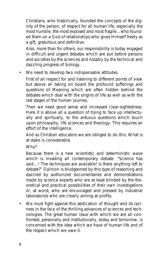Christians, who historically, founded the concepts of the dignity of the person, of respect for all human life, especially the most humble, the most exposed and most fragile…who founded them on a God of relationships who gives Himself freely as a gift, gratuitous and definitive.

Also, more than for others, our responsibility is today engaged in difficult and urgent debates which are put before persons and societies by the sciences and notably by the technical and dazzling progress of biology.

• We need to develop two indispensable attitudes.

First of all respect for and listening to different points of view but above all taking on board the profound sufferings and questions of Meaning which are often hidden behind the debates which deal with the origins of life as well as with the last stages of the human journey.

Then we need good sense and increased clear-sightedness. Here it is above all a question of trying to face up intellectually and spiritually, to the arduous questions which touch upon philosophy, life sciences and theology. This requires an effort of the intelligence.

And as Christian educators we are obliged to do this. What is at stake is considerable.

Why?

Because there is a new scientistic and deterministic wave which is invading all contemporary debate: "Science has said...! The techniques are available! Is there anything left to debate?" Opinion is bludgeoned by this type of reasoning and dazzled by authorized documentaries and demonstrations made by science experts who are at least blinded by the theoretical and practical possibilities of their own investigations or, at worst, who are encouraged and pressed by industrial laboratories who are clearly aiming at profits.

• We must fight against this abdication of thought and its laziness in the face of the thrilling advances of sciences and technologies. The great human issue with which we are all confronted, personally and institutionally, today and tomorrow, is concerned with the idea which we have of human life and of the respect which we owe it.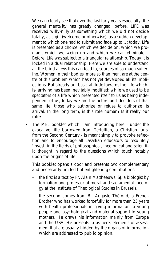We can clearly see that over the last forty years especially, the general mentality has greatly changed: before, LIFE was received willy-nilly as something which we did not decide totally, as a gift (welcome or otherwise), as a sudden development to which one had to submit and face up to…; today, Life is presented as a choice, which we decide on, which we program, which we weigh up and which we can eliminate… Before, Life was subject to a triangular relationship. Today it is locked in a dual relationship. Here we are able to understand all the blind alleys this can lead to, sources of so much suffering. Women in their bodies, more so than men, are at the centre of this problem which has not yet developed all its implications. But already our basic attitude towards the Life-whichis- arriving has been inevitably modified: while we used to be spectators of a life which presented itself to us as being independent of us, today we are the actors and deciders of that same life; those who authorize or refuse to authorize its arrival. In the long term, is this role human? Is it really our role?

• The MEL booklet which I am introducing here - under the evocative title borrowed from Tertullian, a Christian jurist from the Second Century - is meant simply to provoke reflection and to encourage all Lasallian educators to resolutely 'invest' in the fields of philosophical, theological and scientific thought in regard to the questions which touch notably upon the origins of life.

This booklet opens a door and presents two complementary and necessarily limited but enlightening contributions:

- the first is a text by Fr. Alain Mattheeuws, SJ, a biologist by formation and professor of moral and sacramental theology at the Institute of Theological Studies in Brussels.
- the second comes from Br. Auguste Thérond, a French Brother who has worked forcefully for more than 25 years with health professionals in giving information to young people and psychological and material support to young mothers. He draws his information mainly from Europe and the USA. He presents to us here, elements of assessment that are usually hidden by the organs of information which are addressed to public opinion.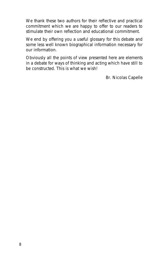We thank these two authors for their reflective and practical commitment which we are happy to offer to our readers to stimulate their own reflection and educational commitment.

We end by offering you a useful glossary for this debate and some less well known biographical information necessary for our information.

Obviously all the points of view presented here are elements in a debate for ways of thinking and acting which have still to be constructed. This is what we wish!

Br. Nicolas Capelle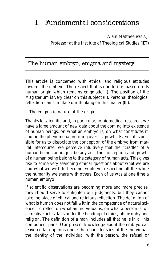## I. Fundamental considerations

### **Alain Mattheeuws s.j.**

Professor at the Institute of Theological Studies (IET)

### The human embryo, enigma and mystery

This article is concerned with ethical and religious attitudes towards the embryo. The respect that is due to it is based on its human origin which remains enigmatic (I). The position of the Magisterium is very clear on this subject (II). Personal theological reflection can stimulate our thinking on this matter (III).

### **I. The enigmatic nature of the origin**

Thanks to scientific and, in particular, to biomedical research, we have a large amount of new data about the coming into existence of human beings, on what an embryo is, on what constitutes it, and on the phenomena presiding over its growth. Even if it is possible for us to dissociate the conception of the embryo from marital intercourse, we perceive intuitively that the "cradle" of a human being cannot just be any act. The conception and growth of a human being belong to the category of human acts. This gives rise to some very searching ethical questions about what we are and what we wish to become, while yet respecting all the while the humanity we share with others. Each of us was at one time a human embryo.

If scientific observations are becoming more and more precise, they should serve to enlighten our judgments, but they cannot take the place of ethical and religious reflection. The definition of what is human does not fall within the competence of natural science. To reflect on what an individual is, on what a person is, on a creative act is, falls under the heading of ethics, philosophy and religion. The definition of a man includes all that he is in all his component parts. Our present knowledge about the embryo can leave certain options open: the characteristics of the individual, the identity of the individual with the person, the refusal or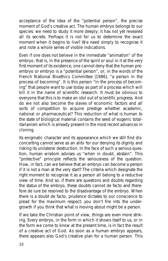acceptance of the idea of the "potential person", the precise moment of God's creative act. The human embryo belongs to our species: we need to study it more deeply; it has not yet revealed all its secrets. Perhaps it is not for us to determine the exact moment when it begins to live? We need simply *to recognise it and note a whole series of visible indications*.

Even if one does not believe in the immediate "animation" of the embryo, that is, in the presence of the spirit or soul in it at the very first moment of its existence, one cannot deny that the human preembryo or embryo is a "potential person", or, in the words of the French National Bioethics Committee (1986), "a person in the process of becoming". It is this person "in the process of becoming" that people want to use today as part of a process which will kill it in the name of scientific research. It must be obvious to everyone that this is to make an idol out of scientific progress. And do we not also become the slaves of economic factors and all sorts of competition to acquire prestige whether academic, national or pharmaceutical? This reduction of what is human to the state of biological material contains the seed of eugenic totalitarianism which is already present in the most recent advances in cloning.

Its enigmatic character and its appearance which we still find disconcerting cannot serve as an alibi for our denying its dignity and risking its unilateral destruction. In the face of such a serious question, human wisdom advises us "*when in doubt, abstain*". This "protective" principle reflects the seriousness of the question. How, in fact, can we believe that an embryo can become a person if it is not a man at the very start? The criteria which designate the right moment to recognise it as a person all belong to a reductive view of time. And so, if there are questions and doubts regarding the status of the embryo, these doubts cannot *de facto* and therefore *de iure* be resolved to the disadvantage of the embryo. When there is a doubt *de facto*, prudence dictates to our conscience to plead for the maximum respect: you don't fire into the undergrowth if you think that what is moving about might be a person.

If we take the Christian point of view, things are even more striking. Every embryo, in the form in which it shows itself to us, or in the form we come to know at the present time, is in fact *the result of a creative act of God*. As soon as a human embryo appears, there appears also God's creative plan for a human person. This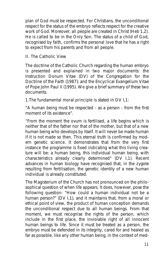plan of God must be respected. For Christians, the unconditional respect for the status of the embryo reflects respect for the creative work of God. Moreover, all people are created in Christ (Heb 1,2). He is called to be in the Only Son. The status of a child of God, recognised by faith, confirms the personal love that he has a right to expect from his parents and from all people.

#### **II. The Catholic View**

The doctrine of the Catholic Church regarding the human embryo is presented and explained in two major documents: the Instruction *Donum Vitae* (DV) of the Congregation for the Doctrine of the Faith (1987); and the Encyclical *Evangelium Vitae* of Pope John Paul II (1995). We give a brief summary of these two documents.

#### *1.The fundamental moral principle* is stated in DV I,1:

"A human being must be respected - as a person - from the first moment of its existence".

"From the moment the ovum is fertilised, a life begins which is neither that of the father nor that of the mother, but that of a new human being who develops by itself. It will never be made human if it is not made so then. This eternal truth is confirmed by modern genetic science. It demonstrates that from the very first instance the programme is fixed indicating what this living creature will be: a human being, this individual human being, with characteristics already clearly determined" (DV I,1). Recent advances in human biology have recognised that, in the zygote resulting from fertilisation, the genetic identity of a new human individual is already constituted.

The Magisterium of the Church has not pronounced on the philosophical question of when life appears. It does, however, pose the following question: "How could a human individual not be a human person?" (DV I,1), and it maintains that, from a moral or ethical point of view, the product of human conception demands the unconditional respect due to all human beings. From that moment, we must recognise the rights of the person, which include in the first place, the inviolable right of all innocent human beings to life. Since it must be treated *as* a person, the embryo must be defended in its integrity, cared for and healed as far as possible, like any other human being, in the context of med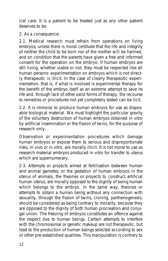ical care. It is a patient to be treated just as any other patient deserves to be.

#### *2. As a consequence:*

2.1. Medical research must refrain from *operations on living embryos*, unless there is moral certitude that the life and integrity of neither the child to be born nor of the mother will be harmed, and on condition that the parents have given a free and informed consent for the operation on the embryo. If human embryos are still living, whether viable or not, they must be respected like all human persons: experimentation on embryos which is not directly therapeutic is illicit. In the case of clearly therapeutic experimentation, that is, if what is involved is experimental therapy for the benefit of the embryo itself as an extreme attempt to save its life and, through lack of other valid forms of therapy, the recourse to remedies or procedures not yet completely tested can be licit.

2.2. It is immoral *to produce human embryos* for use as disposable biological material. We must highlight the particular gravity of the voluntary destruction of human embryos obtained in vitro by artificial insemination or the fission of twins, for the purpose of research only.

Observation or experimentation procedures which damage human embryos or expose them to serious and disproportionate risks, in vivo or in vitro, are morally illicit. It is not moral to use as research material embryos produced in vitro for transfer to uterus which are supernumerary.

2.3. Attempts or projects aimed at fertilisation between human and animal gametes, or the gestation of human embryos in the uterus of animals, the theories or projects to construct artificial human uterus, are morally opposed to the dignity of being human which belongs to the embryo. In the same way, theories or attempts to obtain a human being without any connection with sexuality, through the fission of twins, cloning, parthenogenesis, should be considered as being contrary to morality, because they are opposed to the dignity of both human procreation and conjugal union. The freezing of embryos constitutes an offence against the respect due to human beings. Certain attempts to interfere with the chromosomal or genetic makeup are not therapeutic, but lead to the production of human beings selected according to sex or other pre-established qualities. This manipulation is contrary to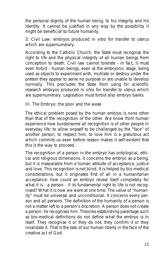the personal dignity of the human being, to his integrity and his identity. It cannot be justified in any way by the possibility it might be beneficial to future humanity.

**3. Civil Law:** embryos produced in vitro for transfer to uterus which are supernumerary.

According to the Catholic Church, the State must recognise *the right to life and the physical integrity* of all human beings from conception to death. Civil law cannot tolerate - in fact, it must even forbid - human beings, even at the embryonic stage, being used as objects to experiment with, mutilate or destroy under the pretext they appear to serve no purpose or are unable to develop normally. This precludes the State from using for scientific research embryos produced in vitro for transfer to uterus which are supernumerary. Legislation must forbid also embryo banks.

#### **III. The Embryo: the poor and the weak**

The ethical problem posed by the human embryo is none other than that of *the recognition of the other*. We know from human experience how burdensome all recognition is of other people in everyday life: to allow oneself to be challenged by the "face" of another person, to respect him, to love him is a gratuitous act which commits us even before reason makes it self-evident that this is the way to proceed.

The recognition of a person in the embryo has ontological, ethical and religious dimensions. It concerns the embryo as a being, but it is inseparable from a human attitude of acceptance, justice and love. This recognition is not blind. It is helped by bio-medical considerations, but it originates first of all in a humanitarian acceptance: how could an embryo reveal itself completely for what it is - a person - if its fundamental right to life is not recognised? What it is now we were at one time. The value of "humanity" must be universal and unconditional. It concerns every person and all persons. The definition of the humanity of a person is not a matter left to a person's discretion. A person does not create a person: he recognises him. Theories establishing parentage such as bio-medical definitions do not define what the embryo is in itself. They recognise it or they do not; they confirm it or they invalidate it. That is the task of *our human liberty* in the face of the creative act of God.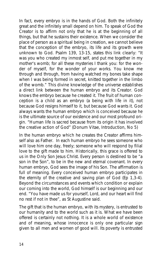In fact, every embryo is in the hands of God. Both the infinitely great and the infinitely small depend on him. To speak of God the Creator is to affirm not only that he is at the beginning of all things, but that he sustains their existence. When we consider the place of person as a spiritual being in creation, we cannot believe that the conception of the embryo, its life and its growth were unknown to God. Psalm 139, 13-15, states this link clearly: *"It was you who created my inmost self, and put me together in my mother's womb; for all these mysteries I thank you: for the wonder of myself, for the wonder of your works. You know me through and through, from having watched my bones take shape when I was being formed in secret, knitted together in the limbo of the womb."* This divine knowledge of the universe establishes a direct link between the human embryo and its Creator. *God knows the embryo because he created it*. The fruit of human conception is a child as an embryo (a being with life in it), not because God resigns himself to it, but because God wants it. God always wants the human embryo which is conceived because he is the ultimate source of our existence and our most profound origin. "Human life is sacred because from its origin it has involved the creative action of God" (*Donum Vitae*, Introduction, No 5)

In the human embryo which he creates the Creator affirms himself also as Father. In each human embryo he sees someone who will love him one day, freely; someone who will respond by filial love to the gift made to him. Historically, this grace is offered to us in the Only Son Jesus Christ. Every person is destined to be "a son in the Son", to be in the new and eternal covenant. *In every human embryo, God sees the image of his Son*. The affirmation is full of meaning. Every conceived human embryo participates in the eternity of the creative and saving plan of God (Ep 1,3-4). Beyond the circumstances and events which condition or explain our coming into the world, God himself is our beginning and our end. "You have made us for yourself, Lord, and our heart will find no rest if not in thee", as St Augustine said.

The gift that is the human embryo, with its mystery, is entrusted to our humanity and to the world such as it is. What we have been offered is certainly not nothing. It is a whole world of existence and of meaning, whose *innocence* is only one particular sign given to all men and women of good will. Its poverty is entrusted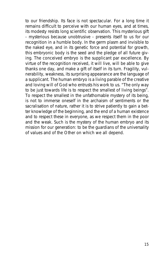to our friendship. Its face is not spectacular. For a long time it remains difficult to perceive with our human eyes, and at times, its modesty resists long scientific observation. This mysterious gift - mysterious because unobtrusive - presents itself to us for our recognition in a humble body. In the germ plasm and invisible to the naked eye, and in its genetic force and potential for growth, this embryonic body is the seed and the pledge of all future giving. The conceived embryo is the supplicant par excellence. By virtue of the recognition received, it will live, will be able to give thanks one day, and make a gift of itself in its turn. Fragility, vulnerability, weakness, its surprising appearance are the language of a supplicant. The human embryo is a living parable of the creative and loving will of God who entrusts his work to us. "The only way to be just towards life is to respect the smallest of living beings". To respect the smallest in the unfathomable mystery of its being, is not to immerse oneself in the archaism of sentiments or the sacralisation of nature, rather it is to strive patiently to gain a better knowledge of the beginning, and the end of a human existence and to respect these in everyone, as we respect them in the poor and the weak. Such is the mystery of the human embryo and its mission for our generation: to be the guardians of the universality of values and of the Other on which we all depend.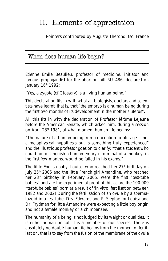## II. Elements of appreciation

**Pointers contributed by Auguste Therond, fsc. France**

## When does human life begin?

Etienne Emile Beaulieu, professor of medicine, initiator and famous propagandist for the abortion pill RU 486, declared on January 16<sup>th</sup> 1992:

*"Yes, a zygote* (cf Glossary) *is a living human being."*

This declaration fits in with what all biologists, doctors and scientists have learnt, that is, that "the embryo is a human being during the first two months of its development in the mother's uterus".

All this fits in with the declaration of Professor Jérôme Lejeune before the American Senate, which asked him, during a session on April 23<sup>rd</sup> 1981, at what moment human life begins:

*"The nature of a human being from conception to old age is not a metaphysical hypothesis but is something truly experienced"* and the illustrious professor goes on to clarify: *"that a student who could not distinguish a human embryo from that of a monkey, in the first few months, would be failed in his exams."*

The little English baby, Louise, who reached her  $27<sup>th</sup>$  birthday on July 25<sup>th</sup> 2005 and the little French girl Amandine, who reached her 23rd birthday in February 2005, were the first "test-tube babies" and are the experimental proof of this as are the 100.000 "test-tube babies" born as a result of 'in vitro' fertilisation between 1982 and 2002! During the fertilisation of an ovule by a spermatozoid in a test-tube, Drs. Edwards and P. Steptoe for Louisa and Dr. Frydman for little Amandine were expecting a little boy or girl and not a female monkey or a chimpanzee.

The humanity of a being is not judged by its weight or qualities. It is either human or not. It is a member of our species. There is absolutely no doubt: human life begins from the moment of fertilisation, that is to say from the fusion of the membrane of the ovule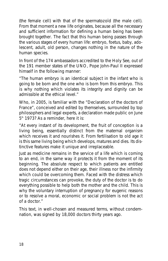(the female cell) with that of the *spermatozoïd* (the male cell). From that moment a new life originates, because all the necessary and sufficient information for defining a human being has been brought together. The fact that this human being passes through the various stages of every human life: *embryo, foetus, baby, adolescent, adult, old person*, changes nothing in the nature of the human species.

In front of the 174 ambassadors accredited to the Holy See, out of the 191 member states of the UNO, Pope John-Paul II expressed himself in the following manner:

*"The human embryo is an identical subject in the infant who is going to be born and the one who is born from this embryo. This is why nothing which violates its integrity and dignity can be admissible at the ethical level."*

Who, in 2005, is familiar with the "Declaration of the doctors of France", conceived and edited by themselves, surrounded by top philosophers and legal experts, a declaration made public on June  $5<sup>th</sup>$  1973? As a reminder, here it is:

*"At every instant of its development, the fruit of conception is a living being, essentially distinct from the maternal organism which receives it and nourishes it. From fertilisation to old age it is this same living being which develops, matures and dies. Its distinctive features make it unique and irreplaceable.*

*Just as medicine remains in the service of a life which is coming to an end, in the same way it protects it from the moment of its beginning. The absolute respect to which patients are entitled does not depend either on their age, their illness nor the infirmity which could be overcoming them. Faced with the distress which tragic circumstances can provoke, the duty of the doctor is to do everything possible to help both the mother and the child. This is why the voluntary interruption of pregnancy for eugenic reasons or to resolve a moral, economic or social problem is not the act of a doctor."*

This text, in well-chosen and measured terms, without condemnation, was signed by 18,000 doctors thirty years ago.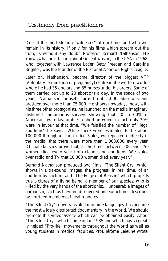## Testimony from practitioners

One of the most striking "witnesses" of our times and who will remain in its history, if only for his films which scream out the truth, is without any doubt, Professor Bernard Nathanson. He knows what he is talking about since it was he, in the USA in 1968, who, together with Lawrence Lader, Betty Freedan and Caroline Brighter, was *the founder of the National Abortion Rights League*.

Later on, Nathanson, became director of the biggest VTP (Voluntary termination of pregnancy) centre in the western world, where he had 35 doctors and 85 nurses under his orders. Some of them carried out up to 20 abortions a day. In the space of two years, Nathanson himself carried out 5,000 abortions and presided over more than 75,000. He shows nowadays, how, with his three other protagonists, he launched on the media imaginary, dishonest, ambiguous surveys showing that 50 to 60% of Americans were favourable to abortion when, in fact, only 30% were in favour at that time. *"We falsified the number of illegal abortions"* he says. *"While there were estimated to be about 100,000 throughout the United States, we repeated endlessly in the media, that there were more than 1,000,000 every year*. Official statistics prove that, at the time, between 200 and 250 women died every year from clandestine abortions. We stated over radio and TV that 10,000 women died every year."

Bernard Nathanson produced two films: *"The Silent Cry"* which shows in ultra-sound images, the progress, in real time, of an abortion by suction, and *"The Eclipse of Reason"* which projects true pictures of a *living being, a member of our species, who is killed by the very hands of the abortionist…* unbearable images of barbarism, such as they are discovered and sometimes described by horrified members of health bodies.

*"The Silent Cry"*, now translated into nine languages, has become the most widely distributed documentary in the world. We should promote this videocassette which can be obtained easily. About *"The Silent Cry"*, which came out in 1985 and which has so greatly helped *"Pro-life"* movements throughout the world as well as young students in medical faculties, Prof. Jérôme Lejeune wrote: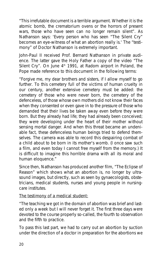*"This irrefutable document is a terrible argument. Whether it is the atomic bomb, the crematorium ovens or the horrors of present wars, those who have seen can no longer remain silent"*. As Nathanson says: 'Every person who has seen "The Silent Cry" becomes an eye-witness of what an abortion really is.' The "testimony" of Doctor Nathanson is extremely important.

John-Paul II received Prof. Bernard Nathanson in private audience. The latter gave the Holy Father a copy of the video "The Silent Cry". On June  $4<sup>th</sup>$  1991, at Radom airport in Poland, the Pope made reference to this document in the following terms:

"Forgive me, my dear brothers and sisters, if I allow myself to go further. To this cemetery full of the victims of human cruelty in our century, another extensive cemetery must be added: *the cemetery of those who were never born, the cemetery of the defenceless, of those whose own mothers did not know their faces when they consented or even gave in to the pressure of those who demanded that their lives be taken away even before they were born. But they already had life; they had already been conceived; they were developing under the heart of their mother without sensing mortal danger. And when this threat became an undeniable fact, these defenceless human beings tried to defend themselves*. The camera was able to record this despairing combat of a child about to be born in its mother's womb. (I once saw such a film, and even today I cannot free myself from the memory.) It is difficult to imagine this horrible drama with all its moral and human eloquence."

Since then, Nathanson has produced another film, *"The Eclipse of Reason"* which shows what an abortion is, no longer by ultrasound images, but directly, such as seen by gynaecologists, obstetricians, medical students, nurses and young people in nursingcare institutes.

#### **The testimony of a medical student:**

"The teaching we got in the domain of abortion was brief and lasted only a week but I will never forget it. The first three days were devoted to the course properly so-called, the fourth to observation and the fifth to practice.

To pass this last part, we had to carry out an abortion by suction under the direction of a doctor in preparation for the abortions we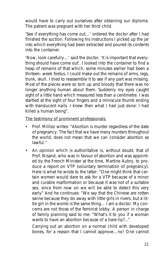would have to carry out ourselves after obtaining our diploma. The patient was pregnant with her third child.

'See if everything has come out…' ordered the doctor after I had finished the suction. Following his instructions I picked up the jar into which everything had been extracted and poured its contents into the container.

'Now, look carefully…' said the doctor. 'It is important that everything should have come out'. I looked into the container to find a heap of remains of that which, some minutes earlier had been a thirteen- week foetus. I could make out the remains of arms, legs, trunk, skull. I tried to reassemble it to see if any part was missing. Most of the pieces were so torn up and bloody that there was no longer anything human about them. Suddenly my eyes caught sight of a little hand which measured less than a centimetre. I was startled at the sight of four fingers and a miniscule thumb ending with translucent nails. I knew then what I had just done: I had killed a human being".

#### **The testimony of prominent professionals:**

- Prof. Milliez writes: "*Abortion is murder regardless of the date of pregnancy*. The fact that we have many murders throughout the world, does not mean that we can consider abortion as lawful."
- An opinion which is authoritative is, without doubt, that of Prof. Nisand, who was in favour of abortion and was appointed by the French Minister at the time, Martine Aubry, to produce a report on VTP (voluntary termination of pregnancy). Here is what he wrote to the latter: *"One might think that certain women would dare to ask for a VTP because of a minor and curable malformation or because it was not of a suitable sex, since from now on we will be able to detect this very early" And he continues: "We say that the Chinese are rotten swine because they do away with little girls in rivers, but a little girl in the womb is the same thing… I am a doctor. My concerns are not those of the feminist lobby. A person in charge of family planning said to me: "What's it to you if a woman wants to have an abortion because of a hare-lip?..."*

*Carrying out an abortion on a normal child with developed bones, for a reason that I cannot approve…no! One cannot*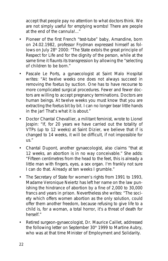*accept that people pay no attention to what doctors think. We are not simply useful for emptying wombs! There are people at the end of the cannula!..."*

- Pioneer of the first French "test-tube" baby, Amandine, born on 24.02.1982, professor Frydman expressed himself as follows on July 28<sup>th</sup> 2000: "The State extols the great principle of *Respect for Life and for the dignity of the person, while at the same time it flaunts its transgression by allowing the "selecting of children to be born."*
- *Pascale Le Ports*, a gynaecologist at Saint Malo Hospital writes: *"At twelve weeks one does not always succeed in removing the foetus by suction. One has to have recourse to more complicated surgical procedures. Fewer and fewer doctors are willing to accept pregnancy terminations. Doctors are human beings. At twelve weeks you must know that you are extracting the foetus bit by bit. I can no longer bear little hands in the jar! That's what it is about."*
- Doctor Chantal Chevallier, a militant feminist, wrote to Lionel Jospin: "If, for 20 years we have carried out the totality of VTPs (up to 12 weeks) at Saint Dizier, we believe that if is changed to 14 weeks, it will be difficult, if not impossible for us."
- Chantal Dupont, another gynaecologist, also claims "that at 12 weeks, an abortion is in no way conceivable." She adds: "Fifteen centimetres from the head to the feet, this is already a little man with fingers, eyes, a sex organ. I'm frankly not sure I can do that. Already at ten weeks I grumble."
- The Secretary of State for women's rights from 1991 to 1993, Madame Veronique Neiertz has left her name on the law punishing the hindrance of abortion by a fine of 2,000 to 30,000 francs and years in prison. Nevertheless she writes: "The society which offers women abortion as the only solution, could offer them another freedom, because refusing to give life to a child is, for a woman, a total horror, it's a threat of death for herself."
- Retired surgeon-gynaecologist, Dr. Maurice Caillet, addressed the following letter on September  $30<sup>th</sup>$  1999 to Martine Aubry, who was at that time Minister of Employment and Solidarity.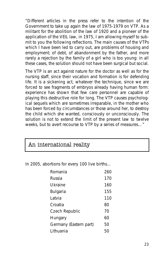"Different articles in the press refer to the intention of the Government to take up again the law of 1975-1979 on VTP. *As a militant for the abolition of the law of 1920 and a pioneer of the application of the VEIL law, in 1975*, I am allowing myself to submit to you the following reflections. The main causes of the VTPs which I have been led to carry out, are problems of housing and employment; of debt, of abandonment by the father, and more rarely a rejection by the family of a girl who is too young: *in all these cases, the solution should not have been surgical but social*.

The VTP is an act against nature for the doctor as well as for the nursing staff, since their vocation and formation is for defending life. It is a sickening act, whatever the technique, since we are forced to see fragments of embryos already having human form: experience has shown that few care personnel are capable of playing this destructive role for long. The VTP causes psychological sequels which are sometimes irreparable, in the mother who has been forced by circumstances or those around her, to destroy the child which she wanted, consciously or unconsciously. The solution is not to extend the limit of the present law to twelve weeks, but to avert recourse to VTP by a series of measures…"

| An international reality |
|--------------------------|
|--------------------------|

In 2005, abortions for every 100 live births…

| Romania                | 260 |
|------------------------|-----|
| Russia                 | 170 |
| Ukraine                | 160 |
| Bulgaria               | 155 |
| I atvia                | 110 |
| Croatia                | 80  |
| Czech Republic         | 70  |
| Hungary                | 60  |
| Germany (Eastern part) | 50  |
| I ithuania             | 50  |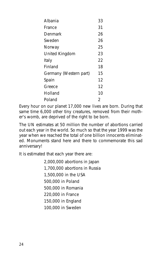| Albania                | 33 |
|------------------------|----|
| France                 | 31 |
| Denmark                | 26 |
| Sweden                 | 26 |
| Norway                 | 25 |
| United Kingdom         | 23 |
| Italy                  | 22 |
| Finland                | 18 |
| Germany (Western part) | 15 |
| Spain                  | 12 |
| Greece                 | 12 |
| Holland                | 10 |
| Poland                 | 2  |

Every hour *on our planet* 17,000 new lives are born. During that same time 6,000 other tiny creatures, removed from their mother's womb, are deprived of the right to be born.

The UN estimates at 50 million the number of abortions carried out each year in the world. So much so that the year 1999 was the year when we reached the total of *one billion innocents eliminated*. Monuments stand here and there to commemorate this sad anniversary!

*It is estimated that each year there are:*

2,000,000 abortions in Japan 1,700,000 abortions in Russia 1,500,000 in the USA 500,000 in Poland 500,000 in Romania 220,000 in France 150,000 in England 100,000 in Sweden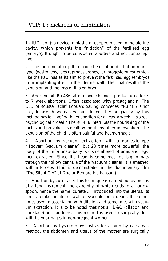## VTP: 12 methods of elimination

**1 - IUD (coil)**: a device in plastic or copper, placed in the uterine cavity, which prevents the "nidation" of the fertilised egg (embryo). It ought to be considered abortive and not contraceptive.

**2 - The morning-after pill**: a toxic chemical product of hormonal type (oestrogens, oestroprogesterones, or progesterones) which like the IUD has as its aim to prevent the fertilised egg (embryo) from implanting itself in the uterine wall. The final result is the expulsion and the loss of this embryo.

**3 - Abortive pill Ru 486**: also a toxic chemical product used for 5 to 7 week abortions. Often associated with prostaglandin. The CEO of Roussel Uclaf, Edouard Saking, concedes: "Ru 486 is not easy to use. A woman wishing to end her pregnancy by this method has to "live" with her abortion for at least a week. It's a real psychological ordeal." The Ru 486 interrupts the nourishing of the foetus and provokes its death without any other intervention. The expulsion of the child is often painful and haemorrhagic.

**4 - Abortion by vacuum extraction**: with a domestic-type "Hoover" (vacuum cleaner), but 23 times more powerful, the body of the unfortunate baby is dismembered of arms and legs, then extracted. Since the head is sometimes too big to pass through the hollow cannula of the 'vacuum cleaner' it is smashed with a forceps. (This is demonstrated in the documentary film "The Silent Cry" of Doctor Bernard Nathanson.)

**5 - Abortion by curettage**: This technique is carried out by means of a long instrument, the extremity of which ends in a narrow spoon, hence the name 'curette'… Introduced into the uterus, its aim is to rake the uterine wall to evacuate foetal debris. It is sometimes used in association with dilation and sometimes with vacuum extraction. It is to be noted that not all D&C (dilation and curettage) are abortions. This method is used to surgically deal with haemorrhages in non-pregnant women.

**6 - Abortion by hysterotomy**: Just as for a birth by caesarean method, the abdomen and uterus of the mother are surgically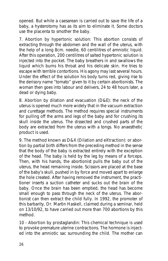opened. But while a caesarean is carried out to save the life of a baby, a hysterotomy has as its aim to eliminate it. Some doctors use the placenta to smother the baby.

**7. Abortion by hypertonic solution**: This abortion consists of extracting through the abdomen and the wall of the uterus, with the help of a long 8cm. needle, 60 centilitres of amniotic liquid. After this operation, 200 centilitres of salted hypertonic solution is injected into the pocket. The baby breathers in and swallows the liquid which burns his throat and his delicate skin. He tries to escape with terrible contortions. His agony may last several hours. Under the effect of the solution his body turns red, giving rise to the derisory name "tomato" given to it by certain abortionists. The woman then goes into labour and delivers, 24 to 48 hours later, a dead or dying baby.

**8. Abortion by dilation and evacuation (D&E)**: the neck of the uterus is opened much more widely that in the vacuum extraction and curettage methods. The method requires special instruments for pulling off the arms and legs of the baby and for crushing its skull inside the uterus. The dissected and crushed parts of the body are extracted from the uterus with a tongs. No anaesthetic product is used.

**9. The method known as D&X (Dilation and eXtraction)**: or abortion by partial birth differs from the preceding method in the sense that the body of the baby is extracted entirely with the exception of the head. The baby is held by the leg by means of a forceps. Then, with his hands, the abortionist pulls the baby out of the uterus, the head remaining inside. Scissors are placed at the base of the baby's skull, pushed in by force and moved apart to enlarge the hole created. After having removed the instrument, the practitioner inserts a suction catheter and sucks out the brain of the baby. Once the brain has been emptied, the head has become small enough to pass through the neck of the uterus. The abortionist can then extract the child fully. In 1992, the promoter of this barbarity, Dr. Martin Haskell, claimed during a seminar, held on 13/10/92, to have carried out more than 700 abortions by this method.

**10 - Abortion by prostaglandin**: This chemical technique is used to provoke premature uterine contractions. The hormone is injected into the amniotic sac surrounding the child. The mother can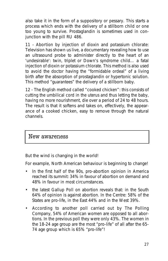also take it in the form of a suppository or pessary. This starts a process which ends with the delivery of a stillborn child or one too young to survive. Prostaglandin is sometimes used in conjunction with the pill RU 486.

**11 - Abortion by injection of dioxin and potassium chlorate**: Television has shown us live, a documentary revealing how to use an ultrasound probe to administer directly to the heart of an 'undesirable': twin, triplet or Down's syndrome child… a fatal injection of dioxin or potassium chlorate. This method is also used to avoid the doctor having the "formidable ordeal" of a living birth after the absorption of prostaglandin or hypertonic solution. This method "guarantees" the delivery of a stillborn baby.

**12 - The English method called "cooked chicken"**: this consists of cutting the umbilical cord in the uterus and thus letting the baby, having no more nourishment, die over a period of 24 to 48 hours. The result is that it softens and takes on, effectively, the appearance of a cooked chicken, easy to remove through the natural channels.

### New awareness

But the wind is changing in the world!

For example, North American behaviour is beginning to change!

- In the first half of the 90s, pro-abortion opinion in America reached its summit: 34% in favour of abortion on demand and 48% in favour in most circumstances.
- the latest Gallup Poll on abortion reveals that: in the South 64% of opinion is against abortion. In the Centre: 58% of the States are pro-life, in the East 44% and in the West 39%.
- According to another poll carried out by The Polling Company, 54% of American women are opposed to all abortions. In the previous poll they were only 43%. The women in the 18-24 age group are the most "pro-life" of all after the 65- 74 age group which is 65% "pro-life"!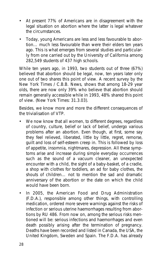- At present 77% of Americans are in disagreement with the legal situation on abortion where the latter is legal whatever the circumstances.
- Today, young Americans are less and less favourable to abortion… much less favourable than were their elders ten years ago. This is what emerges from several studies and particularly from one carried out by the University of California among 282,549 students of 437 high schools.

While ten years ago, in 1993, two students out of three (67%) believed that abortion should be legal, now, ten years later only one out of two shares this point of view. A recent survey by the New York Times / C.B.B. News, shows that among 18-29 year olds, there are now only 39% who believe that abortion should remain generally accessible while in 1993, 48% shared this point of view. (New York Times: 31.3.03).

Besides, we know more and more the different consequences of the trivialisation of VTP.

- We now know that all women, to different degrees, regardless of country, culture, belief or lack of belief, undergo various problems after an abortion. Even though, at first, some say they feel relieved, liberated, little by little, regret, remorse, guilt and loss of self-esteem creep in. This is followed by loss of appetite, insomnia, nightmares, depression. All these symptoms arise and increase during simple everyday occurrences such as the sound of a vacuum cleaner, an unexpected encounter with a child, the sight of a baby-basket, of a cradle, a shop with clothes for toddlers, an ad for baby clothes, the shouts of children… not to mention the sad and dramatic anniversary of the abortion or the date on which the child would have been born.
- In 2005, the American Food and Drug Administration (F.D.A.), responsible among other things, with controlling medication, ordered more severe warnings against the risks of infection or serious uterine haemorrhages resulting from abortions by RU 486. From now on, among the serious risks mentioned will be: serious infections and haemorrhages and even death possibly arising after the termination of pregnancy. Deaths have been recorded and listed in Canada, the USA, the United Kingdom, Sweden and Spain. The F.D.A. has already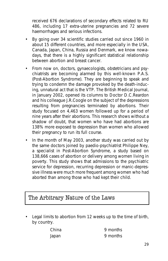received 676 declarations of secondary effects related to RU 486, including 17 extra-uterine pregnancies and 72 severe haemorrhages and serious infections.

- By going over 34 scientific studies carried out since 1960 in about 15 different countries, and more especially in the USA, Canada, Japan, China, Russia and Denmark, we know nowadays, that there is a highly significant statistical relationship between abortion and breast cancer.
- From now on, doctors, gynaecologists, obstetricians and psychiatrists are becoming alarmed by this well-known P.A.S. (Post-Abortion Syndrome). They are beginning to speak and trying to condemn the damage provoked by the death-inducing, unnatural act that is the VTP. The British Medical Journal, in January 2002, opened its columns to Doctor D.C.Reardon and his colleague J.R.Coogle on the subject of the depressions resulting from pregnancies terminated by abortions. Their study focused on 4,463 women followed up for a period of nine years after their abortions. This research shows without a shadow of doubt, that women who have had abortions are 138% more exposed to depression than women who allowed their pregnancy to run its full course.
- In the month of May 2003, another study was carried out by the same doctors joined by paedio-psychiatrist Philippe Ney, a specialist in Post-Abortion Syndrome, a study based on 138,666 cases of abortion or delivery among women living in poverty. This study shows that admissions to the psychiatric service for depression, recurring depression or manic-depressive illness were much more frequent among women who had aborted than among those who had kept their child.

### The Arbitrary Nature of the Laws

• Legal limits to abortion from 12 weeks up to the time of birth, by country.

| China | 9 months |
|-------|----------|
| Japan | 9 months |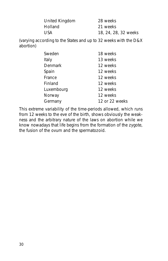| United Kingdom | 28 weeks             |
|----------------|----------------------|
| Holland        | 21 weeks             |
| USA            | 18, 24, 28, 32 weeks |

(varying according to the States and up to 32 weeks with the D&X abortion)

| Sweden         | 18 weeks       |
|----------------|----------------|
| Italy          | 13 weeks       |
| <b>Denmark</b> | 12 weeks       |
| Spain          | 12 weeks       |
| France         | 12 weeks       |
| Finland        | 12 weeks       |
| Luxembourg     | 12 weeks       |
| Norway         | 12 weeks       |
| Germany        | 12 or 22 weeks |
|                |                |

This extreme variability of the time-periods allowed, which runs from 12 weeks to the eve of the birth, shows obviously the weakness and the arbitrary nature of the laws on abortion while we know nowadays that life begins from the formation of the zygote, the fusion of the ovum and the spermatozoid.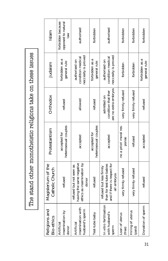The stand other monotheistic religions take on these issues The stand other monotheistic religions take on these issues

| Religions and<br><b>Bio-ethics</b>                 | Magisterium of the<br>Catholic Church                                                              | Protestantism                        | Orthodox                                                   | Judaism                                                   | Islam                                                 |
|----------------------------------------------------|----------------------------------------------------------------------------------------------------|--------------------------------------|------------------------------------------------------------|-----------------------------------------------------------|-------------------------------------------------------|
| insemination by<br>Artificial<br>guop              | refused                                                                                            | heterosexual couples<br>accepted for | refused                                                    | Б<br>general rule<br>forbidden as                         | forbidden because<br>opposed to natural<br><b>NRI</b> |
| insemination with<br>husband's sperm<br>Artificial | having the same negative<br>ethics as insemination by<br>refused but not seen as<br>donoi          | accepted                             | allowed                                                    | neccesity is proved<br>condition medical<br>authorised on | authorised                                            |
| Test-tube baby                                     | refused                                                                                            | heterosexual couples<br>accepted for | refused                                                    | forbidden as a<br>general rule                            | forbidden                                             |
| In vitro fertilisation<br>with husband's<br>sperm  | than for test-tube babies<br>and if there is respect for<br>refused but less firmly<br>all embryos | accepted                             | are no extra embryos<br>condition that ther<br>admitted on | neccesity is proved<br>condition medical<br>authorised on | authorised                                            |
| Loan of uterus<br>(free)                           | very firmly refused                                                                                | no a priori moral res-<br>ponse      | very firmly refused                                        | forbidden                                                 | forbidden                                             |
| Hiring of uterus<br>(paid)                         | very firmly refused                                                                                | refused                              | very firmly refused                                        | forbidden                                                 | forbidden                                             |
| Donation of sperm                                  | refused                                                                                            | accepted                             | refused                                                    | forbidden as a<br>general rule                            | forbidden                                             |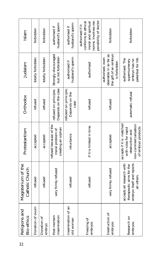| 32 | Religions and<br><b>Bio-ethics</b> | Magisterium of the<br>Catholic Church                                                            | Protestantism                                                                                                      | Orthodox                                       | Judaism                                                                             | Islam                                                                                                           |
|----|------------------------------------|--------------------------------------------------------------------------------------------------|--------------------------------------------------------------------------------------------------------------------|------------------------------------------------|-------------------------------------------------------------------------------------|-----------------------------------------------------------------------------------------------------------------|
|    | Donation of ovum                   | refused                                                                                          | accepted                                                                                                           | refused                                        | totally forbidden                                                                   | forbidden                                                                                                       |
|    | Donation of<br>embryo              | refused                                                                                          | accepted                                                                                                           | refused                                        | totally forbidden                                                                   | forbidden                                                                                                       |
|    | insemination<br>Post-mortem        | very firmly refused                                                                              | refused because of the<br>creating an orphan<br>moral problem of                                                   | refused on principle.<br>Depends on the case   | Strongly discouraged<br>but not forbidden                                           | husband's sperm<br>authorised if                                                                                |
|    | Insemination of an<br>old woman    | refused                                                                                          | reluctance                                                                                                         | efused on principle.<br>Depends on the<br>case | husband's sperm<br>authorised if                                                    | husband's sperm<br>authorised if                                                                                |
|    | Freezing of<br>embryos             | refused                                                                                          | if it is limited in time                                                                                           | refused                                        | authorised                                                                          | ponsibility of doctor<br>norms. Involves res-<br>conforms to ethical<br>moral and spiritual<br>authorised if it |
|    | Destruction of<br>embryos          | very firmly refused                                                                              | accepted                                                                                                           | refused                                        | the gift of an embryo<br>desirable in so far as<br>authorised, even<br>is forbidden | forbidden                                                                                                       |
|    | Research on<br>embryos             | accepts all research with<br>embryo itself and rejects<br>therapeutic aims for the<br>all others | accepts if it is matched<br>non-commercialisation<br>of embryo products<br>with rules for rapid<br>destruction and | automatic refusal                              | authorised. The<br>petential for life<br>supernumerary<br>embryo has no             | forbidden                                                                                                       |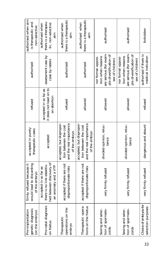| authorised when aim<br>is therapeutic and<br>non-selective             | there is a therapeu-<br>tic, non-selective<br>authorised when<br>ain                                    | there is a therapeutic<br>authorised when<br>alm                                              | there is a therapeutic<br>authorised when<br>alle                                             | authorised                                                                                                      | authorised                                                                                                      | forbidden                                    |
|------------------------------------------------------------------------|---------------------------------------------------------------------------------------------------------|-----------------------------------------------------------------------------------------------|-----------------------------------------------------------------------------------------------|-----------------------------------------------------------------------------------------------------------------|-----------------------------------------------------------------------------------------------------------------|----------------------------------------------|
| authorised                                                             | assessment case by<br>case by rabbis                                                                    | authorised                                                                                    | authorised                                                                                    | are serious (for exam-<br>ple diversification of<br>tion when reasons<br>nor formal opposi-<br>sex of children) | are serious (for exam-<br>ple diversification of<br>nor formal opposi-<br>tion when reasons<br>sex of children) | authorised if there is<br>medical indication |
| refused                                                                | it does not lead on to<br>accepted in so far as<br>an abortion                                          | refused                                                                                       | allowed                                                                                       | allowed                                                                                                         | allowed                                                                                                         | refused                                      |
| accepted in purely<br>therapeutic cases                                | accepted                                                                                                | accepted, but dispropor-<br>and the real importance<br>tion between the cost<br>of the embryo | accepted, but dispropor-<br>and the real importance<br>tion between the cost<br>of the embryo | divided opinion, reluc-<br>tance                                                                                | divided opinion, reluc-<br>tance                                                                                | dangerous and absurd                         |
| would lead to discarding<br>firmly refused because it<br>of the embryo | hed between discovery of<br>there is no link establis-<br>an anomaly and a VTP<br>accepted in so far as | accepted if there are not<br>disproportionate risks                                           | accepted if there are not<br>disproportionate risks                                           | very firmly refused                                                                                             | very firmly refused                                                                                             | very firmly refused                          |
| qenetic diagnosis<br>Pre-implantation<br>(on the embryo)               | Pre-natal diagnosis<br>on foetus                                                                        | operations on the<br>Therapeutic<br>embryo                                                    | Therapeutic opera-<br>tions on the foetus                                                     | Sexing and selec-<br>tion of spermato-<br>zoid                                                                  | Sexing and selec-<br>tion of spermato-<br>zoids                                                                 | Choice of embryos for<br>selection purposes  |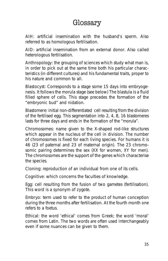## Glossary

**AIH**: artificial insemination with the husband's sperm. Also referred to as homologous fertilisation.

**AID**: artificial insemination from an external donor. Also called heterologous fertilisation.

**Anthropology**: the grouping of sciences which study what man is, in order to pick out at the same time both his particular characteristics (in different cultures) and his fundamental traits, proper to his nature and common to all.

**Blastocyst**: Corresponds to a stage some 15 days into embryogenesis. It follows the morula stage (see below) The blastula is a fluid filled sphere of cells. This stage precedes the formation of the "embryonic bud" and nidation.

**Blastomere**: initial non-differentiated cell resulting from the division of the fertilised egg. This segmentation into 2, 4, 8, 16 blastomeres lasts for three days and ends in the formation of the "morula".

**Chromosomes**: name given to the X-shaped rod-like structures which appear in the nucleus of the cell in division. The number of chromosomes is fixed for each living species. For humans it is 46 (23 of paternal and 23 of maternal origin). The 23 chromosomic pairing determines the sex (XX for women, XY for men). The chromosomes are the support of the genes which characterise the species.

**Cloning**: reproduction of an individual from one of its cells.

**Cognitive**: which concerns the faculties of knowledge.

**Egg**: cell resulting from the fusion of two gametes (fertilisation). This word is a synonym of zygote.

**Embryo**: term used to refer to the product of human conception during the three months after fertilisation. At the fourth month one refers to a foetus.

**Ethical**: the word 'ethical' comes from Greek; the word 'moral' comes from Latin. The two words are often used interchangeably even if some nuances can be given to them.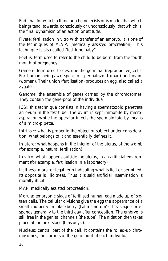**End**: that for which a thing or a being exists or is made; that which beings tend towards, consciously or unconsciously, that which is; the final dynamism of an action or attitude.

**Fivete**: fertilisation in vitro with transfer of an embryo. It is one of the techniques of M.A.P. (medically assisted procreation). This technique is also called "test-tube baby".

**Foetus**: term used to refer to the child to be born, from the fourth month of pregnancy.

**Gamete**: term used to describe the germinal (reproductive) cells. For human beings we speak of spermatozoid (man) and ovum (woman). Their union (fertilisation) produces an egg, also called a zygote.

**Genome**: the ensemble of genes carried by the chromosomes. They contain the gene-pool of the individua

**ICSI**: this technique consists in having a spermatozoid penetrate an ovum in the test-tube. The ovum is kept immobile by microaspiration while the operator injects the spermatozoid by means of a micro-pipette.

**Intrinsic**: what is proper to the object or subject under consideration; what belongs to it and essentially defines it.

**In utero**: what happens in the interior of the uterus, of the womb (for example, natural fertilisation)

**In vitro**: what happens outside the uterus, in an artificial environment (for example, fertilisation in a laboratory).

**Licitness**: moral or legal term indicating what is licit or permitted. Its opposite is illicitness. Thus it is said artificial insemination is morally illicit.

**MAP**: medically assisted procreation.

**Morula**: embryonic stage of fertilised human egg made up of sixteen cells. The cellular divisions give the egg the appearance of a small mulberry or blackberry (Latin 'morum').This stage corresponds generally to the third day after conception. The embryo is still free in the genital channels (the tube). The nidation then takes place at the next stage (blastocyst).

**Nucleus**: central part of the cell. It contains the rolled-up chromosomes, the carriers of the gene-pool of each individual.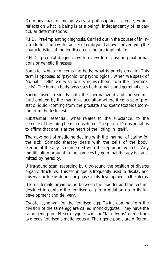**Ontology**: part of metaphysics, a philosophical science, which reflects on what 'a being is as a being', independently of its particular determinations.

**P.I.D.**: Pre-implanting diagnosis. Carried out in the course of in invitro fertilisation with transfer of embryo. It allows for verifying the characteristics of the fertilised eggs before implantation

**P.N.D.**: prenatal diagnosis with a view to discovering malformations or genetic illnesses.

**Somatic**: which concerns the body; what is purely organic. This term is opposed to 'psychic' or psychological. When we speak of "somatic cells" we wish to distinguish them from the "germinal cells". The human body possesses both somatic and germinal cells.

**Sperm**: used to signify both the spermatozoid and the seminal fluid emitted by the man on ejaculation where it consists of prostatic liquid (coming from the prostate and spermatozoids (coming from the testicles).

**Substantial**: essential, what relates to the substance, to the essence of the thing being considered. To speak of 'substantial' is to affirm that one is at the heart of the "thing in itself".

**Therapy**: part of medicine dealing with the manner of caring for the sick. Somatic therapy deals with the cells of the body. Germinal therapy is concerned with the reproductive cells. Any modification brought to the gametes by germinal therapy is transmitted by heredity.

**Ultra-sound scan**: recording by ultra-sound the position of diverse organic structures. This technique is frequently used to display and observe the foetus during the phases of its development in the uterus.

**Uterus**: female organ found between the bladder and the rectum, destined to contain the fertilised egg from nidation up to its full development and delivery.

**Zygote**: synonym for the fertilised egg. Twins coming from the division of the same egg are called mono-zygotes. They have the same gene-pool. Hetero-zygote twins or "false twins" come from two eggs fertilised simultaneously. Their gene-pools are different.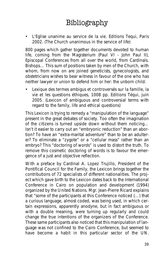## Bibliography

**•** *L'Eglise unanime au service de la vie. Editions Tequi, Paris 2002***.** *(The Church unanimous in the service of life)*

800 pages which gather together documents devoted to human life, coming from the Magisterium (Paul VI - John Paul II), Episcopal Conferences from all over the world, from Cardinals. Bishops… This sum of positions taken by men of the Church, with whom, from now on are joined geneticists, gynecologists, and obstetricians wishes to bear witness in favour of the one who has neither lawyer or union to defend him or her: the unborn child.

**•** *Lexique des termes ambigus et controversés sur la famille, la vie et les questions éthiques***, 1008 pp. Editions Téqui, juin 2005.** *(Lexicon of ambiguous and controversial terms with regard to the family, life and ethical questions)*

This *Lexicon* is trying to remedy a *"manipulation of the language"* present in the great debates of society. Too often the imagination of the citizens is turned upside down without them noticing… Isn't it easier to carry out an *"embryonic reduction"* than an abortion? To have an *"extra-marital adventure"* than to be an adulterer? To eliminate a *"zygote"* or a *"cellular mass"* rather than an embryo? This *"doctoring of words"* is used to distort the truth. To remove this cosmetic doctoring of words is to favour the emergence of a just and objective reflection.

With a preface by Cardinal A. Lopez Trujillo, President of the Pontifical Council for the Family, the Lexicon brings together the contributions of 72 specialists of different nationalities. The project which gave birth to the Lexicon dates back to the International Conference in Cairo on population and development (1994) organized by the United Nations. Mgr. Jean-Pierre Ricard explains that *"some of the participants at this Conference noticed (…) that a curious language, almost coded, was being used, in which certain expressions, apparently anodyne, but in fact ambiguous or with a double meaning, were turning up regularly and could change the true intentions of the organizers of the Conference. These same participants also noticed that this manipulation of language was not confined to the Cairo Conference, but seemed to have become a habit in this particular sector of the UN.*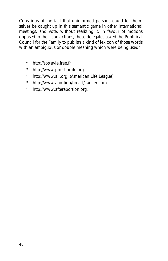*Conscious of the fact that uninformed persons could let themselves be caught up in this semantic game in other international meetings, and vote, without realizing it, in favour of motions opposed to their convictions, these delegates asked the Pontifical Council for the Family to publish a kind of lexicon of those words with an ambiguous or double meaning which were being used"*.

- \* http://soslavie.free.fr
- \* http://www.priestforlife.org
- \* http://www.all.org (American Life League).
- \* http://www.abortion/breast/cancer.com
- \* http://www.afterabortion.org.